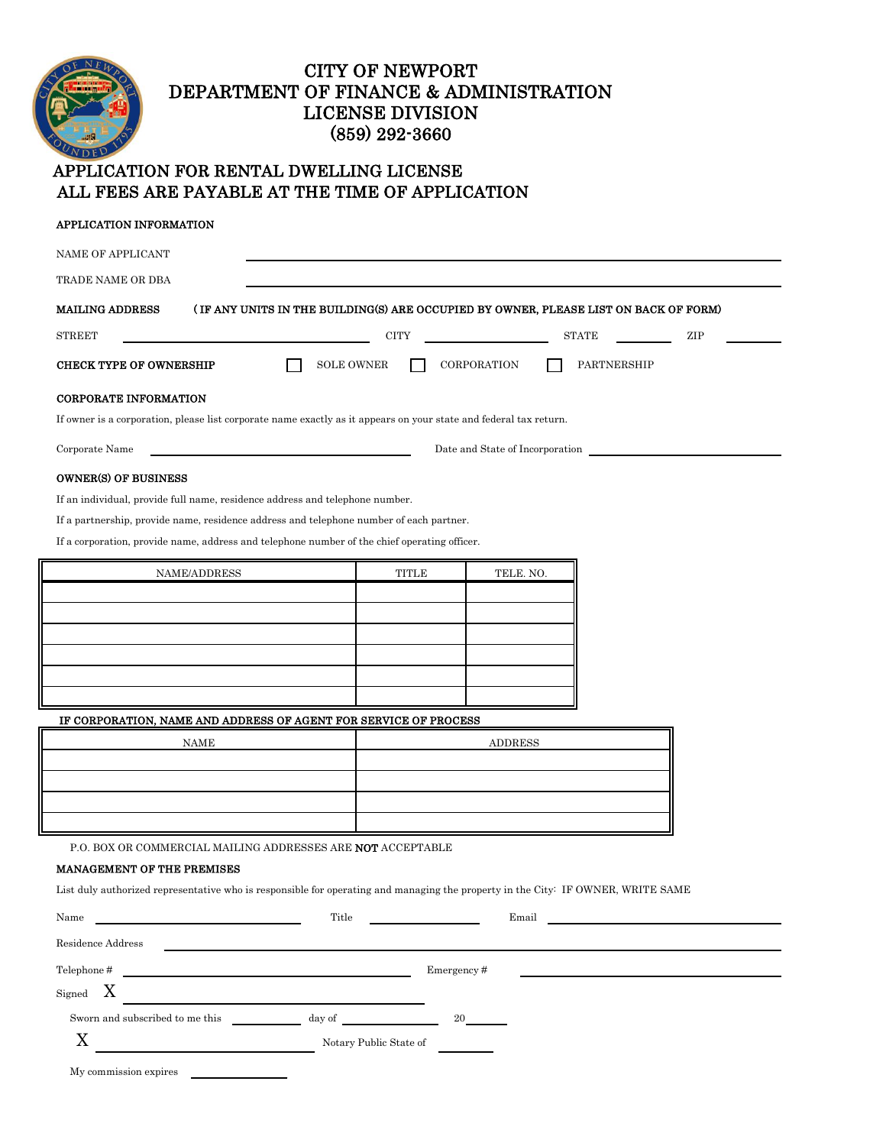# CITY OF NEWPORT DEPARTMENT OF FINANCE & ADMINISTRATION LICENSE DIVISION (859) 292-3660

## APPLICATION FOR RENTAL DWELLING LICENSE ALL FEES ARE PAYABLE AT THE TIME OF APPLICATION

| NAME OF APPLICANT                                                                                                                                                                            |                                                                                                                   |                                                                                      |     |
|----------------------------------------------------------------------------------------------------------------------------------------------------------------------------------------------|-------------------------------------------------------------------------------------------------------------------|--------------------------------------------------------------------------------------|-----|
| TRADE NAME OR DBA                                                                                                                                                                            |                                                                                                                   |                                                                                      |     |
| <b>MAILING ADDRESS</b>                                                                                                                                                                       |                                                                                                                   | (IF ANY UNITS IN THE BUILDING(S) ARE OCCUPIED BY OWNER, PLEASE LIST ON BACK OF FORM) |     |
| <b>STREET</b>                                                                                                                                                                                | <b>CITY</b>                                                                                                       | <b>STATE</b>                                                                         | ZIP |
| <b>SOLE OWNER</b><br><b>CHECK TYPE OF OWNERSHIP</b>                                                                                                                                          | CORPORATION                                                                                                       | PARTNERSHIP                                                                          |     |
| <b>CORPORATE INFORMATION</b>                                                                                                                                                                 |                                                                                                                   |                                                                                      |     |
|                                                                                                                                                                                              | If owner is a corporation, please list corporate name exactly as it appears on your state and federal tax return. |                                                                                      |     |
| Corporate Name                                                                                                                                                                               |                                                                                                                   | Date and State of Incorporation                                                      |     |
| <b>OWNER(S) OF BUSINESS</b>                                                                                                                                                                  |                                                                                                                   |                                                                                      |     |
| If an individual, provide full name, residence address and telephone number.                                                                                                                 |                                                                                                                   |                                                                                      |     |
| If a partnership, provide name, residence address and telephone number of each partner.                                                                                                      |                                                                                                                   |                                                                                      |     |
| If a corporation, provide name, address and telephone number of the chief operating officer.                                                                                                 |                                                                                                                   |                                                                                      |     |
| NAME/ADDRESS                                                                                                                                                                                 | TITLE                                                                                                             | TELE. NO.                                                                            |     |
|                                                                                                                                                                                              |                                                                                                                   |                                                                                      |     |
|                                                                                                                                                                                              |                                                                                                                   |                                                                                      |     |
|                                                                                                                                                                                              |                                                                                                                   |                                                                                      |     |
|                                                                                                                                                                                              |                                                                                                                   |                                                                                      |     |
|                                                                                                                                                                                              |                                                                                                                   |                                                                                      |     |
| IF CORPORATION, NAME AND ADDRESS OF AGENT FOR SERVICE OF PROCESS                                                                                                                             |                                                                                                                   |                                                                                      |     |
| <b>NAME</b>                                                                                                                                                                                  |                                                                                                                   | <b>ADDRESS</b>                                                                       |     |
|                                                                                                                                                                                              |                                                                                                                   |                                                                                      |     |
|                                                                                                                                                                                              |                                                                                                                   |                                                                                      |     |
|                                                                                                                                                                                              |                                                                                                                   |                                                                                      |     |
| P.O. BOX OR COMMERCIAL MAILING ADDRESSES ARE <b>NOT</b> ACCEPTABLE                                                                                                                           |                                                                                                                   |                                                                                      |     |
| <b>MANAGEMENT OF THE PREMISES</b>                                                                                                                                                            |                                                                                                                   |                                                                                      |     |
| List duly authorized representative who is responsible for operating and managing the property in the City: IF OWNER, WRITE SAME                                                             |                                                                                                                   |                                                                                      |     |
| Title<br>Name<br><u> 1990 - John Stone, amerikansk politiker (</u>                                                                                                                           |                                                                                                                   | Email                                                                                |     |
| Residence Address                                                                                                                                                                            |                                                                                                                   |                                                                                      |     |
| $\begin{tabular}{c} \bf Telephone \# \end{tabular}$<br>Emergency#                                                                                                                            |                                                                                                                   |                                                                                      |     |
| $\boldsymbol{X}$<br>Signed                                                                                                                                                                   |                                                                                                                   |                                                                                      |     |
| $\begin{minipage}[c]{0.9\linewidth} \textbf{S} \textbf{worm} \textbf{ and } \textbf{subscribed to me this} \end{minipage} \begin{minipage}[c]{0.9\linewidth} \textbf{day of} \end{minipage}$ | 20                                                                                                                |                                                                                      |     |
| X<br><u> 1989 - Johann Barbara, martin a</u>                                                                                                                                                 | Notary Public State of                                                                                            |                                                                                      |     |
|                                                                                                                                                                                              |                                                                                                                   |                                                                                      |     |

My commission expires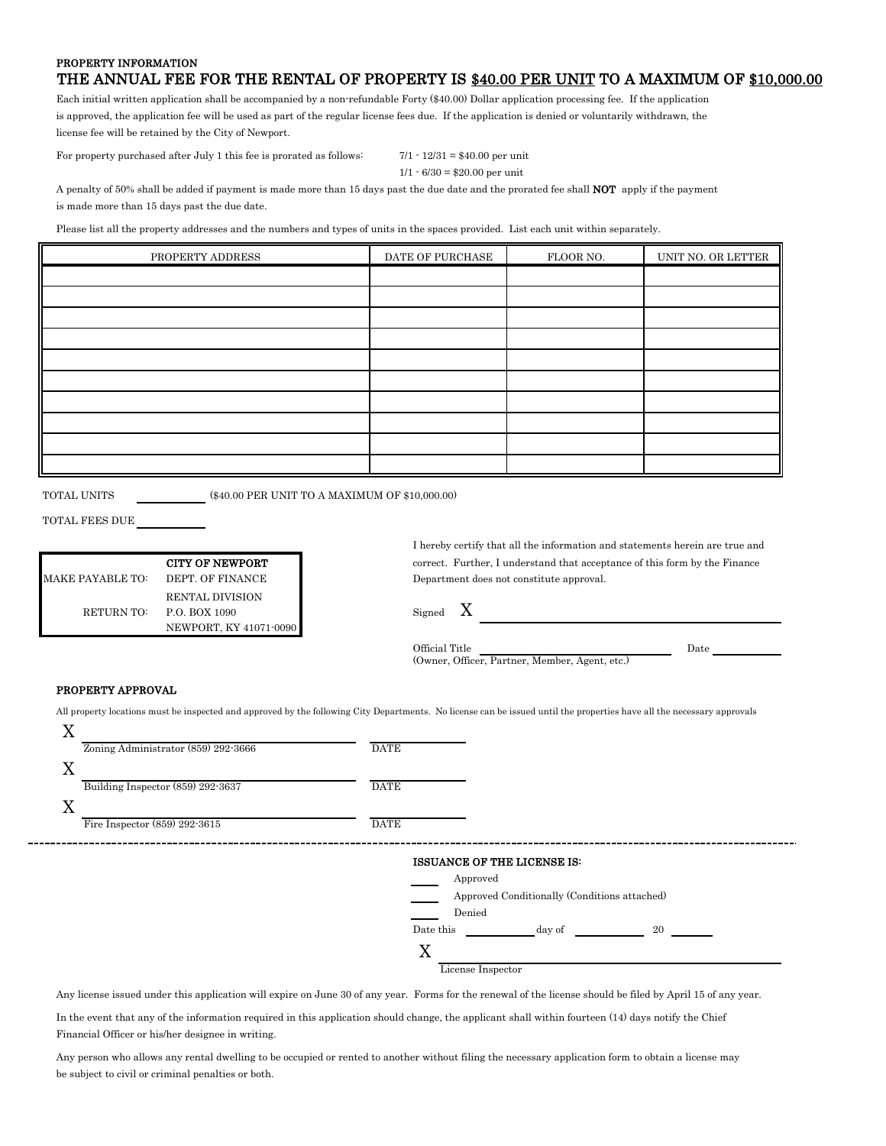### PROPERTY INFORMATION THE ANNUAL FEE FOR THE RENTAL OF PROPERTY IS \$40.00 PER UNIT TO A MAXIMUM OF \$10,000.00

Each initial written application shall be accompanied by a non-refundable Forty (\$40.00) Dollar application processing fee. If the application is approved, the application fee will be used as part of the regular license fees due. If the application is denied or voluntarily withdrawn, the license fee will be retained by the City of Newport.

For property purchased after July 1 this fee is prorated as follows: 7/1 - 12/31 = \$40.00 per unit

```
1/1 \cdot 6/30 = $20.00 per unit
```
A penalty of 50% shall be added if payment is made more than 15 days past the due date and the prorated fee shall NOT apply if the payment is made more than 15 days past the due date.

Please list all the property addresses and the numbers and types of units in the spaces provided. List each unit within separately.

| PROPERTY ADDRESS | DATE OF PURCHASE | FLOOR NO. | UNIT NO. OR LETTER |
|------------------|------------------|-----------|--------------------|
|                  |                  |           |                    |
|                  |                  |           |                    |
|                  |                  |           |                    |
|                  |                  |           |                    |
|                  |                  |           |                    |
|                  |                  |           |                    |
|                  |                  |           |                    |
|                  |                  |           |                    |
|                  |                  |           |                    |
|                  |                  |           |                    |

TOTAL UNITS (\$40.00 PER UNIT TO A MAXIMUM OF \$10,000.00)

TOTAL FEES DUE

|                         | <b>CITY OF NEWPORT</b> | correct |
|-------------------------|------------------------|---------|
| <b>MAKE PAYABLE TO:</b> | DEPT. OF FINANCE       | Depart  |
|                         | RENTAL DIVISION        |         |
| RETURN TO:              | P.O. BOX 1090          | Signed  |
|                         | NEWPORT, KY 41071-0090 |         |

I hereby certify that all the information and statements herein are true and correct. Further, I understand that acceptance of this form by the Finance Department does not constitute approval.

X

Official Title **Date** (Owner, Officer, Partner, Member, Agent, etc.)

#### PROPERTY APPROVAL

All property locations must be inspected and approved by the following City Departments. No license can be issued until the properties have all the necessary approvals X

| Zoning Administrator (859) 292-3666 | <b>DATE</b> |
|-------------------------------------|-------------|
|                                     |             |
| Building Inspector $(859)$ 292-3637 | <b>DATE</b> |
|                                     |             |
| Fire Inspector $(859)$ 292-3615     | <b>DATE</b> |
|                                     |             |

#### ISSUANCE OF THE LICENSE IS:



Any license issued under this application will expire on June 30 of any year. Forms for the renewal of the license should be filed by April 15 of any year.

In the event that any of the information required in this application should change, the applicant shall within fourteen (14) days notify the Chief Financial Officer or his/her designee in writing.

Any person who allows any rental dwelling to be occupied or rented to another without filing the necessary application form to obtain a license may be subject to civil or criminal penalties or both.